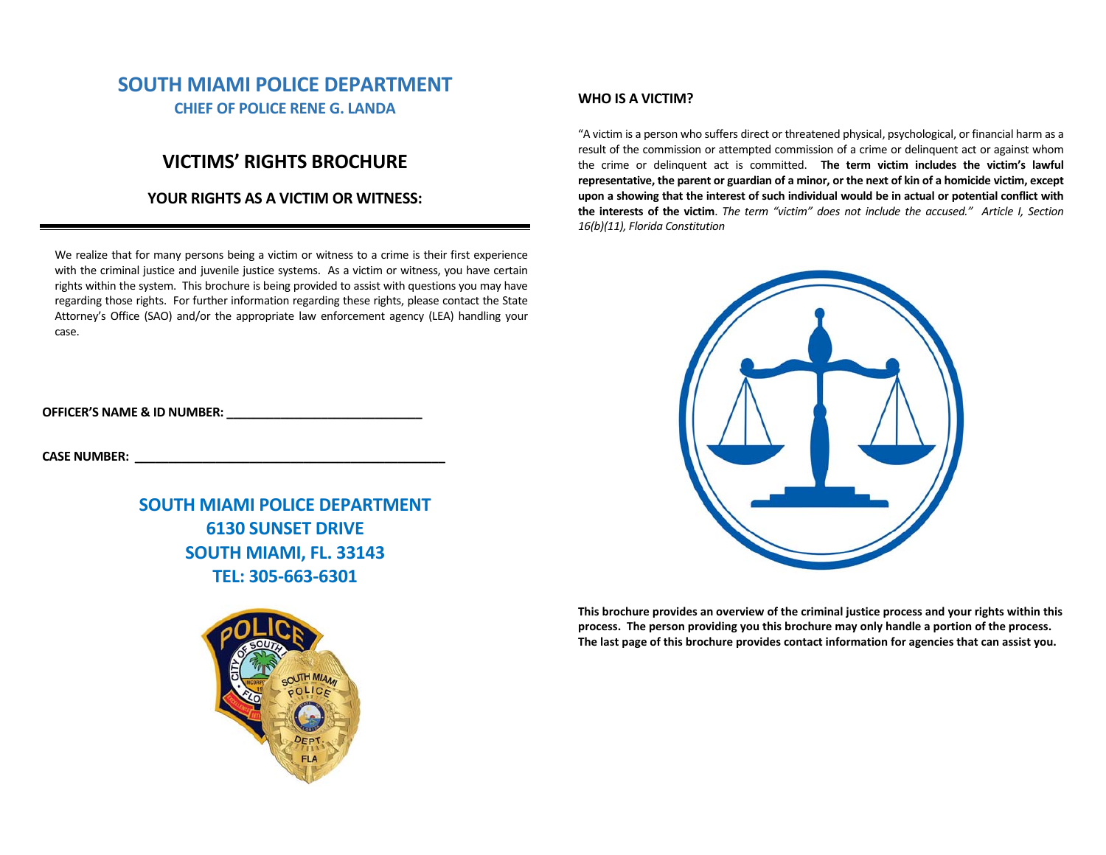# **SOUTH MIAMI POLICE DEPARTMENT CHIEF OF POLICE RENE G. LANDA**

# **VICTIMS' RIGHTS BROCHURE**

## **YOUR RIGHTS AS A VICTIM OR WITNESS:**

We realize that for many persons being a victim or witness to a crime is their first experience with the criminal justice and juvenile justice systems. As a victim or witness, you have certain rights within the system. This brochure is being provided to assist with questions you may have regarding those rights. For further information regarding these rights, please contact the State Attorney's Office (SAO) and/or the appropriate law enforcement agency (LEA) handling your case.

**OFFICER'S NAME & ID NUMBER: \_\_\_\_\_\_\_\_\_\_\_\_\_\_\_\_\_\_\_\_\_\_\_\_\_\_\_\_\_** 

**CASE NUMBER: \_\_\_\_\_\_\_\_\_\_\_\_\_\_\_\_\_\_\_\_\_\_\_\_\_\_\_\_\_\_\_\_\_\_\_\_\_\_\_\_\_\_\_\_\_\_** 

**SOUTH MIAMI POLICE DEPARTMENT 6130 SUNSET DRIVE SOUTH MIAMI, FL. 33143 TEL: 305‐663‐6301** 



## **WHO IS A VICTIM?**

"A victim is a person who suffers direct or threatened physical, psychological, or financial harm as a result of the commission or attempted commission of a crime or delinquent act or against whom the crime or delinquent act is committed. **The term victim includes the victim's lawful representative, the parent or guardian of a minor, or the next of kin of a homicide victim, except upon a showing that the interest of such individual would be in actual or potential conflict with**  the interests of the victim. The term "victim" does not include the accused." Article I, Section *16(b)(11), Florida Constitution* 



**This brochure provides an overview of the criminal justice process and your rights within this process. The person providing you this brochure may only handle a portion of the process. The last page of this brochure provides contact information for agencies that can assist you.**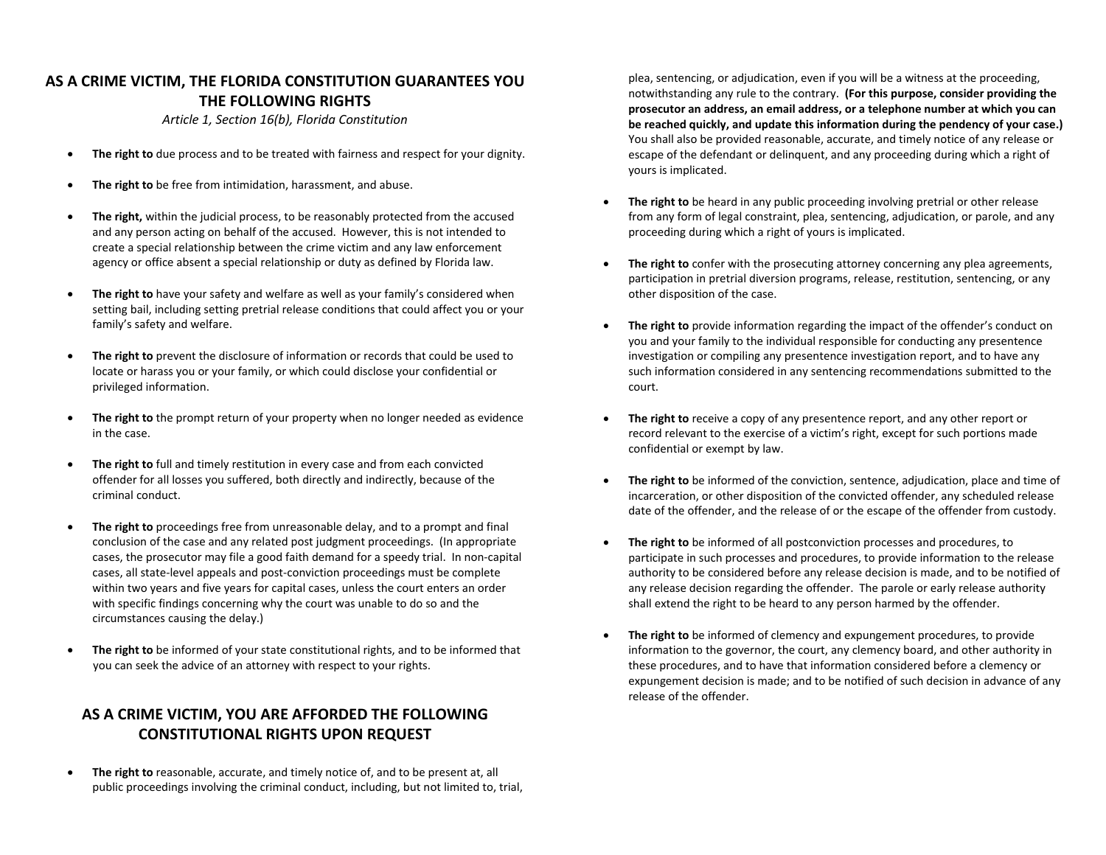# **AS A CRIME VICTIM, THE FLORIDA CONSTITUTION GUARANTEES YOU THE FOLLOWING RIGHTS**

*Article 1, Section 16(b), Florida Constitution* 

- $\bullet$ **The right to** due process and to be treated with fairness and respect for your dignity.
- $\bullet$ **The right to** be free from intimidation, harassment, and abuse.
- $\bullet$  **The right,** within the judicial process, to be reasonably protected from the accused and any person acting on behalf of the accused. However, this is not intended to create a special relationship between the crime victim and any law enforcement agency or office absent a special relationship or duty as defined by Florida law.
- $\bullet$  **The right to** have your safety and welfare as well as your family's considered when setting bail, including setting pretrial release conditions that could affect you or your family's safety and welfare.
- $\bullet$  **The right to** prevent the disclosure of information or records that could be used to locate or harass you or your family, or which could disclose your confidential or privileged information.
- $\bullet$  **The right to** the prompt return of your property when no longer needed as evidence in the case.
- $\bullet$  **The right to** full and timely restitution in every case and from each convicted offender for all losses you suffered, both directly and indirectly, because of the criminal conduct.
- $\bullet$  **The right to** proceedings free from unreasonable delay, and to a prompt and final conclusion of the case and any related post judgment proceedings. (In appropriate cases, the prosecutor may file a good faith demand for a speedy trial. In non‐capital cases, all state‐level appeals and post‐conviction proceedings must be complete within two years and five years for capital cases, unless the court enters an order with specific findings concerning why the court was unable to do so and the circumstances causing the delay.)
- $\bullet$  **The right to** be informed of your state constitutional rights, and to be informed that you can seek the advice of an attorney with respect to your rights.

# **AS A CRIME VICTIM, YOU ARE AFFORDED THE FOLLOWING CONSTITUTIONAL RIGHTS UPON REQUEST**

 $\bullet$  **The right to** reasonable, accurate, and timely notice of, and to be present at, all public proceedings involving the criminal conduct, including, but not limited to, trial,

plea, sentencing, or adjudication, even if you will be a witness at the proceeding, notwithstanding any rule to the contrary. **(For this purpose, consider providing the prosecutor an address, an email address, or a telephone number at which you can be reached quickly, and update this information during the pendency of your case.)** You shall also be provided reasonable, accurate, and timely notice of any release or escape of the defendant or delinquent, and any proceeding during which a right of yours is implicated.

- c **The right to** be heard in any public proceeding involving pretrial or other release from any form of legal constraint, plea, sentencing, adjudication, or parole, and any proceeding during which a right of yours is implicated.
- c **The right to** confer with the prosecuting attorney concerning any plea agreements, participation in pretrial diversion programs, release, restitution, sentencing, or any other disposition of the case.
- c **The right to** provide information regarding the impact of the offender's conduct on you and your family to the individual responsible for conducting any presentence investigation or compiling any presentence investigation report, and to have any such information considered in any sentencing recommendations submitted to the court.
- c **The right to** receive a copy of any presentence report, and any other report or record relevant to the exercise of a victim's right, except for such portions made confidential or exempt by law.
- c **The right to** be informed of the conviction, sentence, adjudication, place and time of incarceration, or other disposition of the convicted offender, any scheduled release date of the offender, and the release of or the escape of the offender from custody.
- c **The right to** be informed of all postconviction processes and procedures, to participate in such processes and procedures, to provide information to the release authority to be considered before any release decision is made, and to be notified of any release decision regarding the offender. The parole or early release authority shall extend the right to be heard to any person harmed by the offender.
- c **The right to** be informed of clemency and expungement procedures, to provide information to the governor, the court, any clemency board, and other authority in these procedures, and to have that information considered before a clemency or expungement decision is made; and to be notified of such decision in advance of any release of the offender.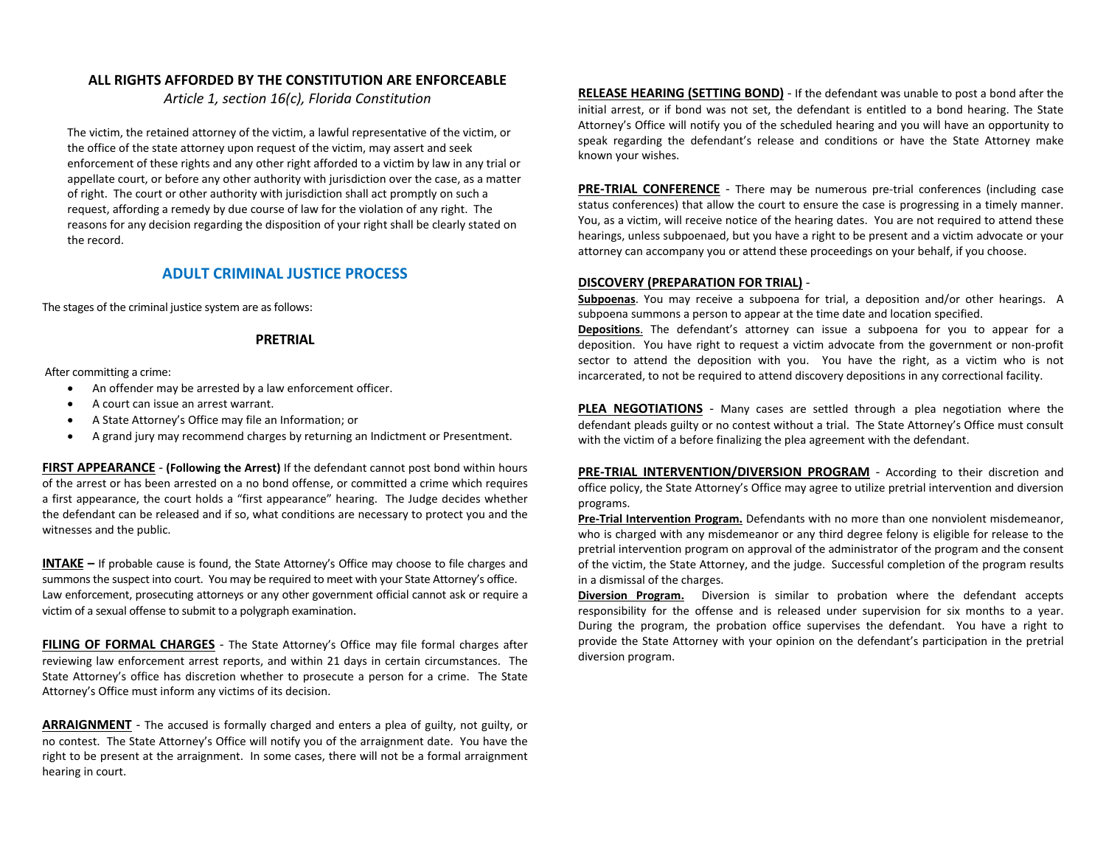### **ALL RIGHTS AFFORDED BY THE CONSTITUTION ARE ENFORCEABLE**

*Article 1, section 16(c), Florida Constitution* 

The victim, the retained attorney of the victim, a lawful representative of the victim, or the office of the state attorney upon request of the victim, may assert and seek enforcement of these rights and any other right afforded to a victim by law in any trial or appellate court, or before any other authority with jurisdiction over the case, as a matter of right. The court or other authority with jurisdiction shall act promptly on such a request, affording a remedy by due course of law for the violation of any right. The reasons for any decision regarding the disposition of your right shall be clearly stated on the record.

## **ADULT CRIMINAL JUSTICE PROCESS**

The stages of the criminal justice system are as follows:

### **PRETRIAL**

After committing a crime:

- $\bullet$ An offender may be arrested by a law enforcement officer.
- $\bullet$ A court can issue an arrest warrant.
- $\bullet$ A State Attorney's Office may file an Information; or
- $\bullet$ A grand jury may recommend charges by returning an Indictment or Presentment.

**FIRST APPEARANCE** ‐ **(Following the Arrest)** If the defendant cannot post bond within hours of the arrest or has been arrested on a no bond offense, or committed a crime which requires <sup>a</sup> first appearance, the court holds a "first appearance" hearing. The Judge decides whether the defendant can be released and if so, what conditions are necessary to protect you and the witnesses and the public.

**INTAKE –** If probable cause is found, the State Attorney's Office may choose to file charges and summons the suspect into court. You may be required to meet with your State Attorney's office. Law enforcement, prosecuting attorneys or any other government official cannot ask or require a victim of a sexual offense to submit to a polygraph examination.

**FILING OF FORMAL CHARGES** ‐ The State Attorney's Office may file formal charges after reviewing law enforcement arrest reports, and within 21 days in certain circumstances. The State Attorney's office has discretion whether to prosecute a person for a crime. The State Attorney's Office must inform any victims of its decision.

**ARRAIGNMENT** ‐ The accused is formally charged and enters a plea of guilty, not guilty, or no contest. The State Attorney's Office will notify you of the arraignment date. You have the right to be present at the arraignment. In some cases, there will not be a formal arraignment hearing in court.

**RELEASE HEARING (SETTING BOND)** - If the defendant was unable to post a bond after the initial arrest, or if bond was not set, the defendant is entitled to <sup>a</sup> bond hearing. The State Attorney's Office will notify you of the scheduled hearing and you will have an opportunity to speak regarding the defendant's release and conditions or have the State Attorney make known your wishes.

**PRE-TRIAL CONFERENCE** - There may be numerous pre-trial conferences (including case status conferences) that allow the court to ensure the case is progressing in a timely manner. You, as a victim, will receive notice of the hearing dates. You are not required to attend these hearings, unless subpoenaed, but you have a right to be present and a victim advocate or your attorney can accompany you or attend these proceedings on your behalf, if you choose.

### **DISCOVERY (PREPARATION FOR TRIAL)** ‐

**Subpoenas**. You may receive <sup>a</sup> subpoena for trial, <sup>a</sup> deposition and/or other hearings. A subpoena summons a person to appear at the time date and location specified.

**Depositions**. The defendant's attorney can issue <sup>a</sup> subpoena for you to appear for <sup>a</sup> deposition. You have right to request a victim advocate from the government or non‐profit sector to attend the deposition with you. You have the right, as a victim who is not incarcerated, to not be required to attend discovery depositions in any correctional facility.

**PLEA NEGOTIATIONS** - Many cases are settled through a plea negotiation where the defendant pleads guilty or no contest without a trial. The State Attorney's Office must consult with the victim of a before finalizing the plea agreement with the defendant.

**PRE‐TRIAL INTERVENTION/DIVERSION PROGRAM** ‐ According to their discretion and office policy, the State Attorney's Office may agree to utilize pretrial intervention and diversion programs.

**Pre‐Trial Intervention Program.** Defendants with no more than one nonviolent misdemeanor, who is charged with any misdemeanor or any third degree felony is eligible for release to the pretrial intervention program on approval of the administrator of the program and the consent of the victim, the State Attorney, and the judge. Successful completion of the program results in a dismissal of the charges.

**Diversion Program.** Diversion is similar to probation where the defendant accepts responsibility for the offense and is released under supervision for six months to a year. During the program, the probation office supervises the defendant. You have a right to provide the State Attorney with your opinion on the defendant's participation in the pretrial diversion program.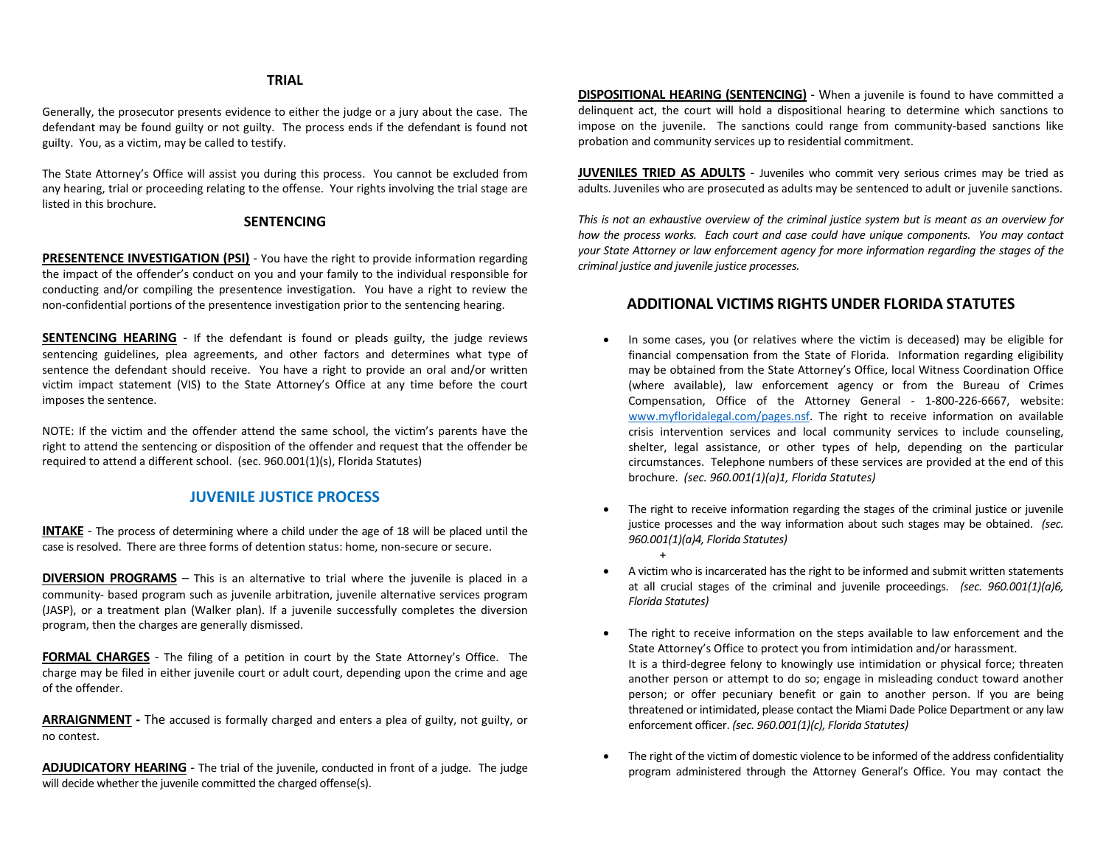### **TRIAL**

Generally, the prosecutor presents evidence to either the judge or a jury about the case. The defendant may be found guilty or not guilty. The process ends if the defendant is found not guilty. You, as a victim, may be called to testify.

The State Attorney's Office will assist you during this process. You cannot be excluded from any hearing, trial or proceeding relating to the offense. Your rights involving the trial stage are listed in this brochure.

### **SENTENCING**

**PRESENTENCE INVESTIGATION (PSI)** - You have the right to provide information regarding the impact of the offender's conduct on you and your family to the individual responsible for conducting and/or compiling the presentence investigation. You have a right to review the non‐confidential portions of the presentence investigation prior to the sentencing hearing.

**SENTENCING HEARING** - If the defendant is found or pleads guilty, the judge reviews sentencing guidelines, plea agreements, and other factors and determines what type of sentence the defendant should receive. You have a right to provide an oral and/or written victim impact statement (VIS) to the State Attorney's Office at any time before the court imposes the sentence.

NOTE: If the victim and the offender attend the same school, the victim's parents have the right to attend the sentencing or disposition of the offender and request that the offender be required to attend a different school. (sec. 960.001(1)(s), Florida Statutes)

### **JUVENILE JUSTICE PROCESS**

**INTAKE** - The process of determining where a child under the age of 18 will be placed until the case is resolved. There are three forms of detention status: home, non‐secure or secure.

**DIVERSION PROGRAMS** – This is an alternative to trial where the juvenile is placed in a community‐ based program such as juvenile arbitration, juvenile alternative services program (JASP), or a treatment plan (Walker plan). If a juvenile successfully completes the diversion program, then the charges are generally dismissed.

**FORMAL CHARGES** - The filing of a petition in court by the State Attorney's Office. The charge may be filed in either juvenile court or adult court, depending upon the crime and age of the offender.

**ARRAIGNMENT ‐** The accused is formally charged and enters a plea of guilty, not guilty, or no contest.

**ADJUDICATORY HEARING** - The trial of the juvenile, conducted in front of a judge. The judge will decide whether the juvenile committed the charged offense(s).

**DISPOSITIONAL HEARING (SENTENCING)** ‐ When a juvenile is found to have committed a delinquent act, the court will hold <sup>a</sup> dispositional hearing to determine which sanctions to impose on the juvenile. The sanctions could range from community-based sanctions like probation and community services up to residential commitment.

**JUVENILES TRIED AS ADULTS** ‐ Juveniles who commit very serious crimes may be tried as adults. Juveniles who are prosecuted as adults may be sentenced to adult or juvenile sanctions.

*This is not an exhaustive overview of the criminal justice system but is meant as an overview for how the process works. Each court and case could have unique components. You may contact your State Attorney or law enforcement agency for more information regarding the stages of the criminal justice and juvenile justice processes.*

## **ADDITIONAL VICTIMS RIGHTS UNDER FLORIDA STATUTES**

- c In some cases, you (or relatives where the victim is deceased) may be eligible for financial compensation from the State of Florida. Information regarding eligibility may be obtained from the State Attorney's Office, local Witness Coordination Office (where available), law enforcement agency or from the Bureau of Crimes Compensation, Office of the Attorney General - 1-800-226-6667, website: www.myfloridalegal.com/pages.nsf. The right to receive information on available crisis intervention services and local community services to include counseling, shelter, legal assistance, or other types of help, depending on the particular circumstances. Telephone numbers of these services are provided at the end of this brochure. *(sec. 960.001(1)(a)1, Florida Statutes)*
- c The right to receive information regarding the stages of the criminal justice or juvenile justice processes and the way information about such stages may be obtained. (sec. *960.001(1)(a)4, Florida Statutes)*  $+$
- 0 A victim who is incarcerated has the right to be informed and submit written statements at all crucial stages of the criminal and juvenile proceedings. *(sec. 960.001(1)(a)6, Florida Statutes)*
- 0 The right to receive information on the steps available to law enforcement and the State Attorney's Office to protect you from intimidation and/or harassment. It is a third-degree felony to knowingly use intimidation or physical force; threaten another person or attempt to do so; engage in misleading conduct toward another person; or offer pecuniary benefit or gain to another person. If you are being threatened or intimidated, please contact the Miami Dade Police Department or any law enforcement officer. *(sec. 960.001(1)(c), Florida Statutes)*
- 0 The right of the victim of domestic violence to be informed of the address confidentiality program administered through the Attorney General's Office. You may contact the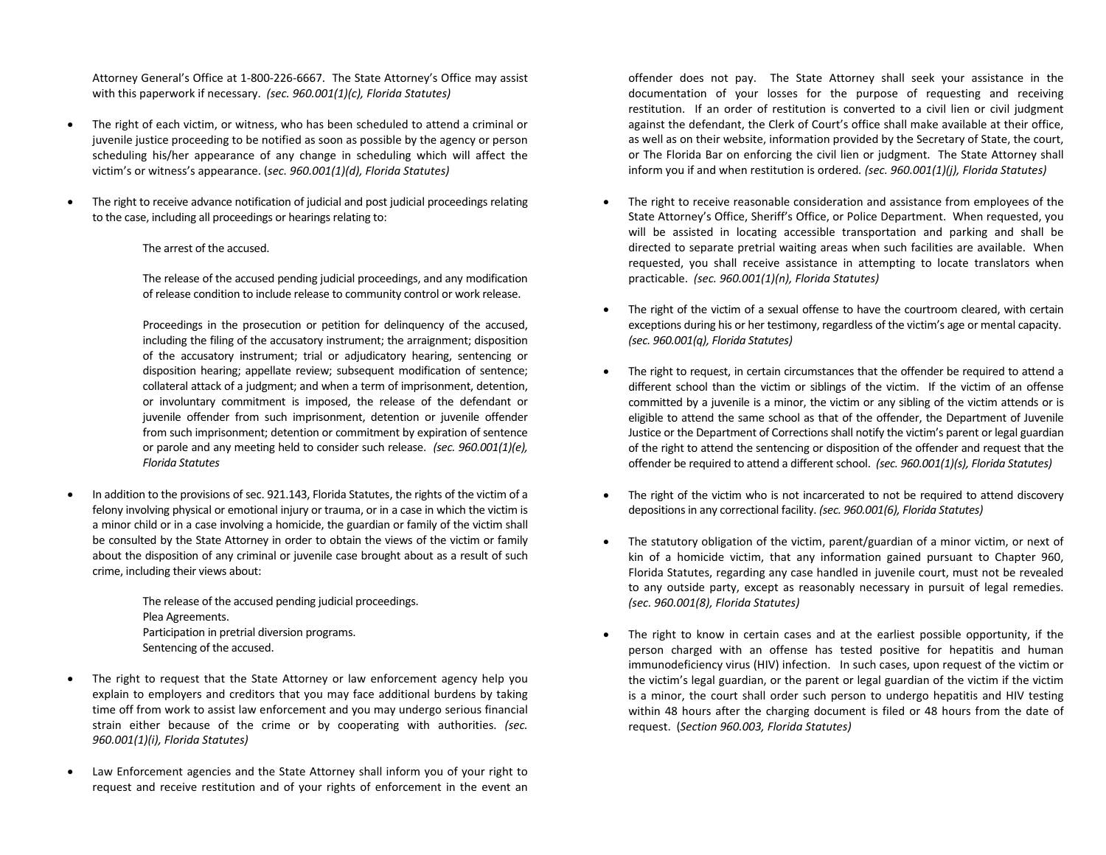Attorney General's Office at 1‐800‐226‐6667. The State Attorney's Office may assist with this paperwork if necessary. *(sec. 960.001(1)(c), Florida Statutes)*

- $\bullet$  The right of each victim, or witness, who has been scheduled to attend a criminal or juvenile justice proceeding to be notified as soon as possible by the agency or person scheduling his/her appearance of any change in scheduling which will affect the victim's or witness's appearance. (*sec. 960.001(1)(d), Florida Statutes)*
- $\bullet$  The right to receive advance notification of judicial and post judicial proceedings relating to the case, including all proceedings or hearings relating to:
	- The arrest of the accused.

The release of the accused pending judicial proceedings, and any modification of release condition to include release to community control or work release.

Proceedings in the prosecution or petition for delinguency of the accused, including the filing of the accusatory instrument; the arraignment; disposition of the accusatory instrument; trial or adjudicatory hearing, sentencing or disposition hearing; appellate review; subsequent modification of sentence; collateral attack of a judgment; and when a term of imprisonment, detention, or involuntary commitment is imposed, the release of the defendant or juvenile offender from such imprisonment, detention or juvenile offender from such imprisonment; detention or commitment by expiration of sentence or parole and any meeting held to consider such release. *(sec. 960.001(1)(e), Florida Statutes* 

 $\bullet$  In addition to the provisions of sec. 921.143, Florida Statutes, the rights of the victim of a felony involving physical or emotional injury or trauma, or in a case in which the victim is a minor child or in a case involving a homicide, the guardian or family of the victim shall be consulted by the State Attorney in order to obtain the views of the victim or family about the disposition of any criminal or juvenile case brought about as a result of such crime, including their views about:

> The release of the accused pending judicial proceedings. Plea Agreements. Participation in pretrial diversion programs. Sentencing of the accused.

- $\bullet$ The right to request that the State Attorney or law enforcement agency help you explain to employers and creditors that you may face additional burdens by taking time off from work to assist law enforcement and you may undergo serious financial strain either because of the crime or by cooperating with authorities. *(sec. 960.001(1)(i), Florida Statutes)*
- $\bullet$  Law Enforcement agencies and the State Attorney shall inform you of your right to request and receive restitution and of your rights of enforcement in the event an

offender does not pay. The State Attorney shall seek your assistance in the documentation of your losses for the purpose of requesting and receiving restitution. If an order of restitution is converted to a civil lien or civil judgment against the defendant, the Clerk of Court's office shall make available at their office, as well as on their website, information provided by the Secretary of State, the court, or The Florida Bar on enforcing the civil lien or judgment. The State Attorney shall inform you if and when restitution is ordered*. (sec. 960.001(1)(j), Florida Statutes)* 

- 0 The right to receive reasonable consideration and assistance from employees of the State Attorney's Office, Sheriff's Office, or Police Department. When requested, you will be assisted in locating accessible transportation and parking and shall be directed to separate pretrial waiting areas when such facilities are available. When requested, you shall receive assistance in attempting to locate translators when practicable. *(sec. 960.001(1)(n), Florida Statutes)*
- e The right of the victim of a sexual offense to have the courtroom cleared, with certain exceptions during his or her testimony, regardless of the victim's age or mental capacity. *(sec. 960.001(q), Florida Statutes)*
- 0 The right to request, in certain circumstances that the offender be required to attend a different school than the victim or siblings of the victim. If the victim of an offense committed by a juvenile is a minor, the victim or any sibling of the victim attends or is eligible to attend the same school as that of the offender, the Department of Juvenile Justice or the Department of Corrections shall notify the victim's parent or legal guardian of the right to attend the sentencing or disposition of the offender and request that the offender be required to attend a different school. *(sec. 960.001(1)(s), Florida Statutes)*
- e The right of the victim who is not incarcerated to not be required to attend discovery depositions in any correctional facility. *(sec. 960.001(6), Florida Statutes)*
- The statutory obligation of the victim, parent/guardian of a minor victim, or next of kin of a homicide victim, that any information gained pursuant to Chapter 960, Florida Statutes, regarding any case handled in juvenile court, must not be revealed to any outside party, except as reasonably necessary in pursuit of legal remedies. *(sec. 960.001(8), Florida Statutes)*
- 0 The right to know in certain cases and at the earliest possible opportunity, if the person charged with an offense has tested positive for hepatitis and human immunodeficiency virus (HIV) infection. In such cases, upon request of the victim or the victim's legal guardian, or the parent or legal guardian of the victim if the victim is a minor, the court shall order such person to undergo hepatitis and HIV testing within 48 hours after the charging document is filed or 48 hours from the date of request. (*Section 960.003, Florida Statutes)*